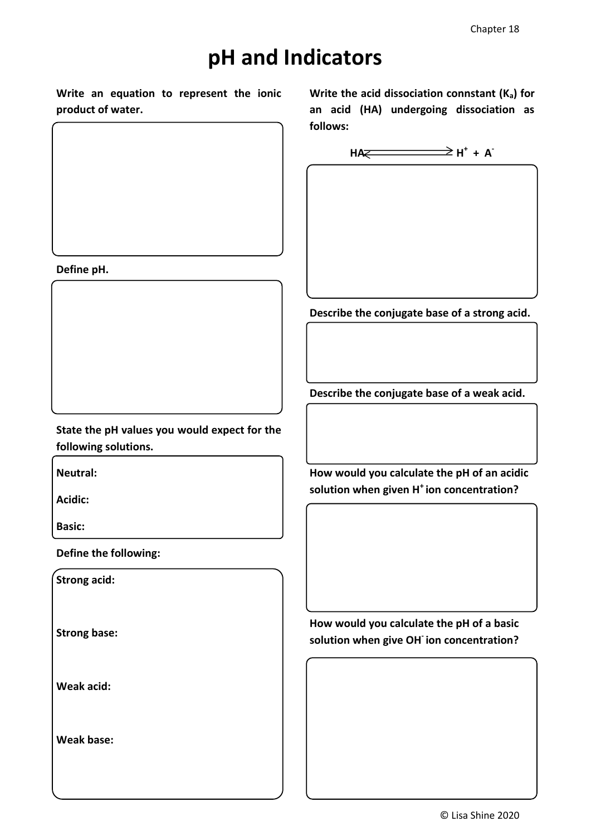## **pH and Indicators**

**Write an equation to represent the ionic product of water.**

**Write the acid dissociation connstant (Ka) for an acid (HA) undergoing dissociation as follows:**



**Describe the conjugate base of a strong acid.**

**Describe the conjugate base of a weak acid.**

**State the pH values you would expect for the following solutions.**

**Neutral:**

**Define pH.**

**Acidic:**

**Basic:**

**Define the following:**

**Strong acid:**

**Strong base:**

**Weak acid:**

**Weak base:**

**How would you calculate the pH of an acidic solution when given H<sup>+</sup>ion concentration?**

**How would you calculate the pH of a basic solution when give OH-ion concentration?**